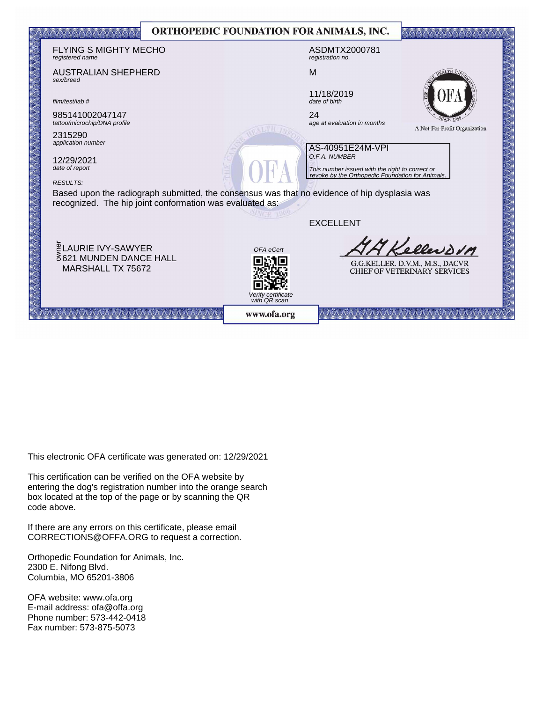|                                                                                                                                                          |                  | <b>ORTHOPEDIC FOUNDATION FOR ANIMALS, INC.</b> |                                                                  |                                                                        |  |
|----------------------------------------------------------------------------------------------------------------------------------------------------------|------------------|------------------------------------------------|------------------------------------------------------------------|------------------------------------------------------------------------|--|
| <b>FLYING S MIGHTY MECHO</b><br>registered name                                                                                                          |                  |                                                | ASDMTX2000781<br>registration no.                                |                                                                        |  |
| <b>AUSTRALIAN SHEPHERD</b><br>sex/breed                                                                                                                  |                  | M                                              |                                                                  | $5\,\mathrm{ATH}$                                                      |  |
| film/test/lab #                                                                                                                                          |                  |                                                | 11/18/2019<br>date of birth                                      |                                                                        |  |
| 985141002047147<br>tattoo/microchip/DNA profile                                                                                                          |                  | 24                                             | age at evaluation in months                                      | A Not-For-Profit Organization                                          |  |
| 2315290<br>application number                                                                                                                            | AS-40951E24M-VPI |                                                |                                                                  |                                                                        |  |
| 12/29/2021<br>date of report                                                                                                                             |                  |                                                | O.F.A. NUMBER<br>This number issued with the right to correct or |                                                                        |  |
| <b>RESULTS:</b>                                                                                                                                          |                  |                                                | revoke by the Orthopedic Foundation for Animals.                 |                                                                        |  |
| Based upon the radiograph submitted, the consensus was that no evidence of hip dysplasia was<br>recognized. The hip joint conformation was evaluated as: |                  |                                                |                                                                  |                                                                        |  |
|                                                                                                                                                          |                  |                                                | <b>EXCELLENT</b>                                                 |                                                                        |  |
| <b>LAURIE IVY-SAWYER</b>                                                                                                                                 |                  | OFA eCert                                      |                                                                  | Kellevovn                                                              |  |
| 8621 MUNDEN DANCE HALL<br>MARSHALL TX 75672                                                                                                              |                  |                                                |                                                                  | G.G.KELLER. D.V.M., M.S., DACVR<br><b>CHIEF OF VETERINARY SERVICES</b> |  |
|                                                                                                                                                          |                  | Verify certificate<br>with QR scan             |                                                                  |                                                                        |  |
|                                                                                                                                                          |                  | www.ofa.org                                    |                                                                  |                                                                        |  |

If there are a real times on the certificate, please email  $\sigma$ This electronic OFA certificate was generated on: 12/29/2021

This certification can be verified on the OFA website by box located at the top of the page or by scanning the QR code above. entering the dog's registration number into the orange search

If there are any errors on this certificate, please email CORRECTIONS@OFFA.ORG to request a correction.

Orthopedic Foundation for Animals, Inc. 2300 E. Nifong Blvd. Columbia, MO 65201-3806

OFA website: www.ofa.org E-mail address: ofa@offa.org Phone number: 573-442-0418 Fax number: 573-875-5073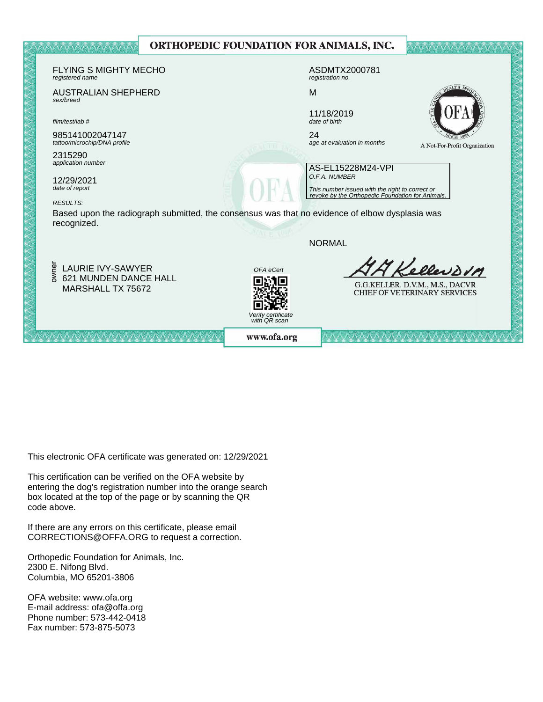

This electronic OFA certificate was generated on: 12/29/2021

This certification can be verified on the OFA website by box located at the top of the page or by scanning the QR code above. entering the dog's registration number into the orange search

If there are any errors on this certificate, please email  $CORRECTIONS@OFFA.ORG$  to request a correction.

Phone number: 573-442-0418 Orthopedic Foundation for Animals, Inc. 2300 E. Nifong Blvd. Columbia, MO 65201-3806

OFA website: www.ofa.org E-mail address: ofa@offa.org Phone number: 573-442-0418 Fax number: 573-875-5073